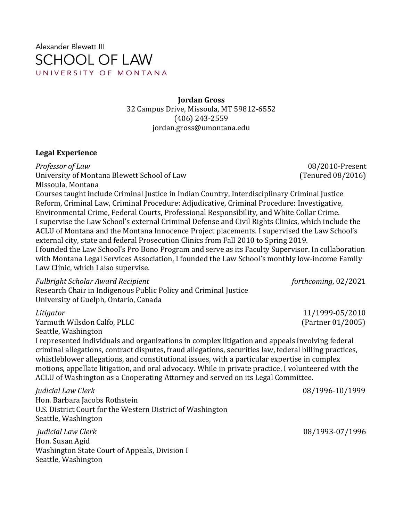Alexander Blewett III **SCHOOL OF LAW** UNIVERSITY OF MONTANA

> **Jordan Gross** 32 Campus Drive, Missoula, MT 59812-6552 (406) 243-2559 jordan.gross@umontana.edu

#### **Legal Experience**

*Professor of Law* 08/2010-Present University of Montana Blewett School of Law (Tenured 08/2016) Missoula, Montana

Courses taught include Criminal Justice in Indian Country, Interdisciplinary Criminal Justice Reform, Criminal Law, Criminal Procedure: Adjudicative, Criminal Procedure: Investigative, Environmental Crime, Federal Courts, Professional Responsibility, and White Collar Crime. I supervise the Law School's external Criminal Defense and Civil Rights Clinics, which include the ACLU of Montana and the Montana Innocence Project placements. I supervised the Law School's external city, state and federal Prosecution Clinics from Fall 2010 to Spring 2019. I founded the Law School's Pro Bono Program and serve as its Faculty Supervisor. In collaboration with Montana Legal Services Association, I founded the Law School's monthly low-income Family Law Clinic, which I also supervise.

*Fulbright Scholar Award Recipient* forthcoming, 02/2021 Research Chair in Indigenous Public Policy and Criminal Justice University of Guelph, Ontario, Canada

Yarmuth Wilsdon Calfo, PLLC (Partner 01/2005) Seattle, Washington

I represented individuals and organizations in complex litigation and appeals involving federal criminal allegations, contract disputes, fraud allegations, securities law, federal billing practices, whistleblower allegations, and constitutional issues, with a particular expertise in complex motions, appellate litigation, and oral advocacy. While in private practice, I volunteered with the ACLU of Washington as a Cooperating Attorney and served on its Legal Committee.

*Judicial Law Clerk* 08/1996-10/1999

Hon. Barbara Jacobs Rothstein U.S. District Court for the Western District of Washington Seattle, Washington

*Judicial Law Clerk* 08/1993-07/1996 Hon. Susan Agid Washington State Court of Appeals, Division I Seattle, Washington

*Litigator* 11/1999-05/2010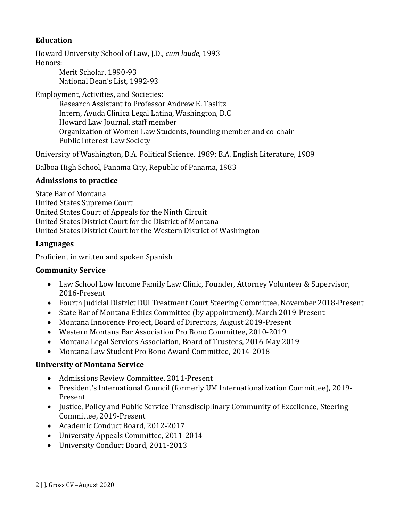# **Education**

Howard University School of Law, J.D., *cum laude*, 1993 Honors:

Merit Scholar, 1990-93 National Dean's List, 1992-93

Employment, Activities, and Societies: Research Assistant to Professor Andrew E. Taslitz Intern, Ayuda Clinica Legal Latina, Washington, D.C Howard Law Journal, staff member Organization of Women Law Students, founding member and co-chair Public Interest Law Society

University of Washington, B.A. Political Science, 1989; B.A. English Literature, 1989

Balboa High School, Panama City, Republic of Panama, 1983

#### **Admissions to practice**

State Bar of Montana United States Supreme Court United States Court of Appeals for the Ninth Circuit United States District Court for the District of Montana United States District Court for the Western District of Washington

#### **Languages**

Proficient in written and spoken Spanish

#### **Community Service**

- Law School Low Income Family Law Clinic, Founder, Attorney Volunteer & Supervisor, 2016-Present
- Fourth Judicial District DUI Treatment Court Steering Committee, November 2018-Present
- State Bar of Montana Ethics Committee (by appointment), March 2019-Present
- Montana Innocence Project, Board of Directors, August 2019-Present
- Western Montana Bar Association Pro Bono Committee, 2010-2019
- Montana Legal Services Association, Board of Trustees, 2016-May 2019
- Montana Law Student Pro Bono Award Committee, 2014-2018

#### **University of Montana Service**

- Admissions Review Committee, 2011-Present
- President's International Council (formerly UM Internationalization Committee), 2019- Present
- Justice, Policy and Public Service Transdisciplinary Community of Excellence, Steering Committee, 2019-Present
- Academic Conduct Board, 2012-2017
- University Appeals Committee, 2011-2014
- University Conduct Board, 2011-2013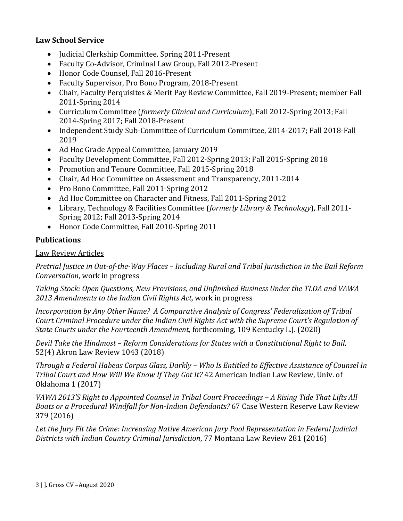## **Law School Service**

- Judicial Clerkship Committee, Spring 2011-Present
- Faculty Co-Advisor, Criminal Law Group, Fall 2012-Present
- Honor Code Counsel, Fall 2016-Present
- Faculty Supervisor, Pro Bono Program, 2018-Present
- Chair, Faculty Perquisites & Merit Pay Review Committee, Fall 2019-Present; member Fall 2011-Spring 2014
- Curriculum Committee (*formerly Clinical and Curriculum*), Fall 2012-Spring 2013; Fall 2014-Spring 2017; Fall 2018-Present
- Independent Study Sub-Committee of Curriculum Committee, 2014-2017; Fall 2018-Fall 2019
- Ad Hoc Grade Appeal Committee, January 2019
- Faculty Development Committee, Fall 2012-Spring 2013; Fall 2015-Spring 2018
- Promotion and Tenure Committee, Fall 2015-Spring 2018
- Chair, Ad Hoc Committee on Assessment and Transparency, 2011-2014
- Pro Bono Committee, Fall 2011-Spring 2012
- Ad Hoc Committee on Character and Fitness, Fall 2011-Spring 2012
- Library, Technology & Facilities Committee (*formerly Library & Technology*), Fall 2011- Spring 2012; Fall 2013-Spring 2014
- Honor Code Committee, Fall 2010-Spring 2011

## **Publications**

## Law Review Articles

*Pretrial Justice in Out-of-the-Way Places – Including Rural and Tribal Jurisdiction in the Bail Reform Conversation*, work in progress

*Taking Stock: Open Questions, New Provisions, and Unfinished Business Under the TLOA and VAWA 2013 Amendments to the Indian Civil Rights Act,* work in progress

*Incorporation by Any Other Name? A Comparative Analysis of Congress' Federalization of Tribal Court Criminal Procedure under the Indian Civil Rights Act with the Supreme Court's Regulation of State Courts under the Fourteenth Amendment,* forthcoming*,* 109 Kentucky L.J. (2020)

*Devil Take the Hindmost – Reform Considerations for States with a Constitutional Right to Bail*, 52(4) Akron Law Review 1043 (2018)

*Through a Federal Habeas Corpus Glass, Darkly – Who Is Entitled to Effective Assistance of Counsel In Tribal Court and How Will We Know If They Got It?* 42 American Indian Law Review, Univ. of Oklahoma 1 (2017)

*VAWA 2013'S Right to Appointed Counsel in Tribal Court Proceedings – A Rising Tide That Lifts All Boats or a Procedural Windfall for Non-Indian Defendants?* 67 Case Western Reserve Law Review 379 (2016)

*Let the Jury Fit the Crime: Increasing Native American Jury Pool Representation in Federal Judicial Districts with Indian Country Criminal Jurisdiction*, 77 Montana Law Review 281 (2016)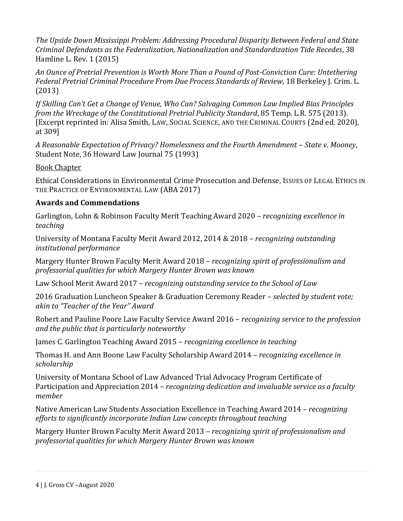*The Upside Down Mississippi Problem: Addressing Procedural Disparity Between Federal and State Criminal Defendants as the Federalization, Nationalization and Standardization Tide Recedes*, 38 Hamline L. Rev. 1 (2015)

*An Ounce of Pretrial Prevention is Worth More Than a Pound of Post-Conviction Cure: Untethering Federal Pretrial Criminal Procedure From Due Process Standards of Review*, 18 Berkeley J. Crim. L. (2013)

*If Skilling Can't Get a Change of Venue, Who Can? Salvaging Common Law Implied Bias Principles from the Wreckage of the Constitutional Pretrial Publicity Standard*, 85 Temp. L.R. 575 (2013). [Excerpt reprinted in: Alisa Smith, LAW, SOCIAL SCIENCE, AND THE CRIMINAL COURTS (2nd ed. 2020), at 309]

A Reasonable Expectation of Privacy? Homelessness and the Fourth Amendment - State v. Mooney, Student Note, 36 Howard Law Journal 75 (1993)

Book Chapter

Ethical Considerations in Environmental Crime Prosecution and Defense, ISSUES OF LEGAL ETHICS IN THE PRACTICE OF ENVIRONMENTAL LAW (ABA 2017)

# **Awards and Commendations**

Garlington, Lohn & Robinson Faculty Merit Teaching Award 2020 – *recognizing excellence in teaching*

University of Montana Faculty Merit Award 2012, 2014 & 2018 – *recognizing outstanding institutional performance*

Margery Hunter Brown Faculty Merit Award 2018 – *recognizing spirit of professionalism and professorial qualities for which Margery Hunter Brown was known*

Law School Merit Award 2017 – *recognizing outstanding service to the School of Law*

2016 Graduation Luncheon Speaker & Graduation Ceremony Reader – *selected by student vote; akin to "Teacher of the Year" Award*

Robert and Pauline Poore Law Faculty Service Award 2016 – *recognizing service to the profession and the public that is particularly noteworthy*

James C. Garlington Teaching Award 2015 – *recognizing excellence in teaching*

Thomas H. and Ann Boone Law Faculty Scholarship Award 2014 – *recognizing excellence in scholarship*

University of Montana School of Law Advanced Trial Advocacy Program Certificate of Participation and Appreciation 2014 – *recognizing dedication and invaluable service as a faculty member*

Native American Law Students Association Excellence in Teaching Award 2014 – *recognizing efforts to significantly incorporate Indian Law concepts throughout teaching*

Margery Hunter Brown Faculty Merit Award 2013 – *recognizing spirit of professionalism and professorial qualities for which Margery Hunter Brown was known*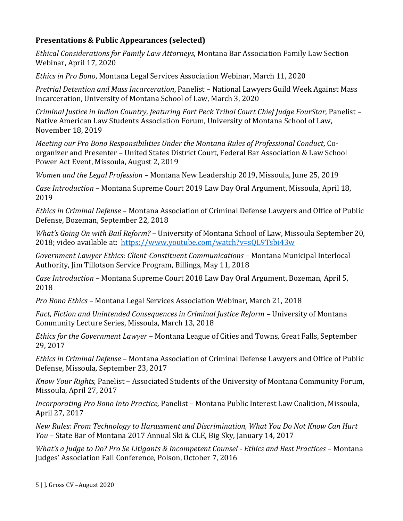# **Presentations & Public Appearances (selected)**

*Ethical Considerations for Family Law Attorneys*, Montana Bar Association Family Law Section Webinar, April 17, 2020

*Ethics in Pro Bono*, Montana Legal Services Association Webinar, March 11, 2020

*Pretrial Detention and Mass Incarceration*, Panelist – National Lawyers Guild Week Against Mass Incarceration, University of Montana School of Law, March 3, 2020

*Criminal Justice in Indian Country, featuring Fort Peck Tribal Court Chief Judge FourStar,* Panelist – Native American Law Students Association Forum, University of Montana School of Law, November 18, 2019

*Meeting our Pro Bono Responsibilities Under the Montana Rules of Professional Conduct,* Coorganizer and Presenter – United States District Court, Federal Bar Association & Law School Power Act Event, Missoula, August 2, 2019

*Women and the Legal Profession –* Montana New Leadership 2019, Missoula, June 25, 2019

*Case Introduction –* Montana Supreme Court 2019 Law Day Oral Argument, Missoula, April 18, 2019

*Ethics in Criminal Defense* – Montana Association of Criminal Defense Lawyers and Office of Public Defense, Bozeman, September 22, 2018

*What's Going On with Bail Reform?* – University of Montana School of Law, Missoula September 20, 2018; video available at: <https://www.youtube.com/watch?v=sQL9Tsbi43w>

*Government Lawyer Ethics: Client-Constituent Communications* – Montana Municipal Interlocal Authority, Jim Tillotson Service Program, Billings, May 11, 2018

*Case Introduction –* Montana Supreme Court 2018 Law Day Oral Argument, Bozeman, April 5, 2018

*Pro Bono Ethics* – Montana Legal Services Association Webinar, March 21, 2018

*Fact, Fiction and Unintended Consequences in Criminal Justice Reform – University of Montana* Community Lecture Series, Missoula, March 13, 2018

*Ethics for the Government Lawyer –* Montana League of Cities and Towns, Great Falls, September 29, 2017

*Ethics in Criminal Defense –* Montana Association of Criminal Defense Lawyers and Office of Public Defense, Missoula, September 23, 2017

*Know Your Rights,* Panelist – Associated Students of the University of Montana Community Forum, Missoula, April 27, 2017

*Incorporating Pro Bono Into Practice,* Panelist – Montana Public Interest Law Coalition, Missoula, April 27, 2017

*New Rules: From Technology to Harassment and Discrimination, What You Do Not Know Can Hurt You* – State Bar of Montana 2017 Annual Ski & CLE, Big Sky, January 14, 2017

*What's a Judge to Do? Pro Se Litigants & Incompetent Counsel - Ethics and Best Practices* – Montana Judges' Association Fall Conference, Polson, October 7, 2016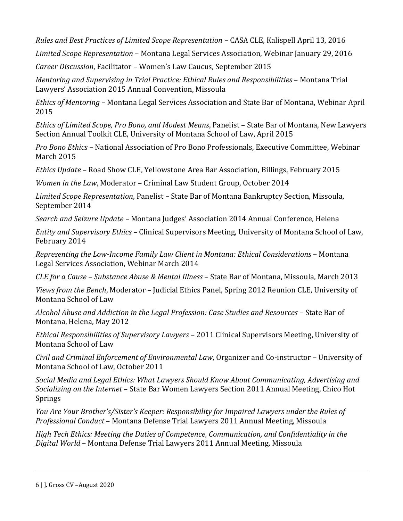*Rules and Best Practices of Limited Scope Representation* – CASA CLE, Kalispell April 13, 2016

*Limited Scope Representation* – Montana Legal Services Association, Webinar January 29, 2016

*Career Discussion*, Facilitator – Women's Law Caucus, September 2015

*Mentoring and Supervising in Trial Practice: Ethical Rules and Responsibilities* – Montana Trial Lawyers' Association 2015 Annual Convention, Missoula

*Ethics of Mentoring* – Montana Legal Services Association and State Bar of Montana, Webinar April 2015

*Ethics of Limited Scope, Pro Bono, and Modest Means*, Panelist – State Bar of Montana, New Lawyers Section Annual Toolkit CLE, University of Montana School of Law, April 2015

*Pro Bono Ethics* – National Association of Pro Bono Professionals, Executive Committee, Webinar March 2015

*Ethics Update* – Road Show CLE, Yellowstone Area Bar Association, Billings, February 2015

*Women in the Law*, Moderator – Criminal Law Student Group, October 2014

*Limited Scope Representation*, Panelist – State Bar of Montana Bankruptcy Section, Missoula, September 2014

*Search and Seizure Update* – Montana Judges' Association 2014 Annual Conference, Helena

*Entity and Supervisory Ethics* – Clinical Supervisors Meeting, University of Montana School of Law, February 2014

*Representing the Low-Income Family Law Client in Montana: Ethical Considerations* – Montana Legal Services Association, Webinar March 2014

*CLE for a Cause – Substance Abuse & Mental Illness* – State Bar of Montana, Missoula, March 2013

*Views from the Bench*, Moderator – Judicial Ethics Panel, Spring 2012 Reunion CLE, University of Montana School of Law

Alcohol Abuse and Addiction in the Legal Profession: Case Studies and Resources – State Bar of Montana, Helena, May 2012

*Ethical Responsibilities of Supervisory Lawyers* – 2011 Clinical Supervisors Meeting, University of Montana School of Law

*Civil and Criminal Enforcement of Environmental Law*, Organizer and Co-instructor – University of Montana School of Law, October 2011

*Social Media and Legal Ethics: What Lawyers Should Know About Communicating, Advertising and Socializing on the Internet* – State Bar Women Lawyers Section 2011 Annual Meeting, Chico Hot Springs

*You Are Your Brother's/Sister's Keeper: Responsibility for Impaired Lawyers under the Rules of Professional Conduct* – Montana Defense Trial Lawyers 2011 Annual Meeting, Missoula

*High Tech Ethics: Meeting the Duties of Competence, Communication, and Confidentiality in the Digital World* – Montana Defense Trial Lawyers 2011 Annual Meeting, Missoula